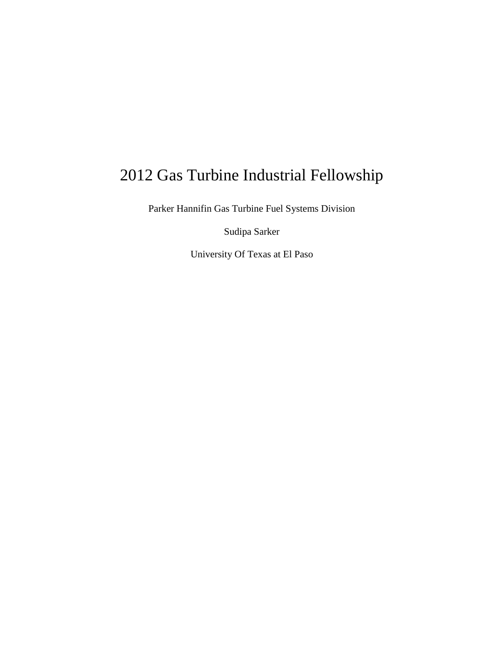# 2012 Gas Turbine Industrial Fellowship

Parker Hannifin Gas Turbine Fuel Systems Division

Sudipa Sarker

University Of Texas at El Paso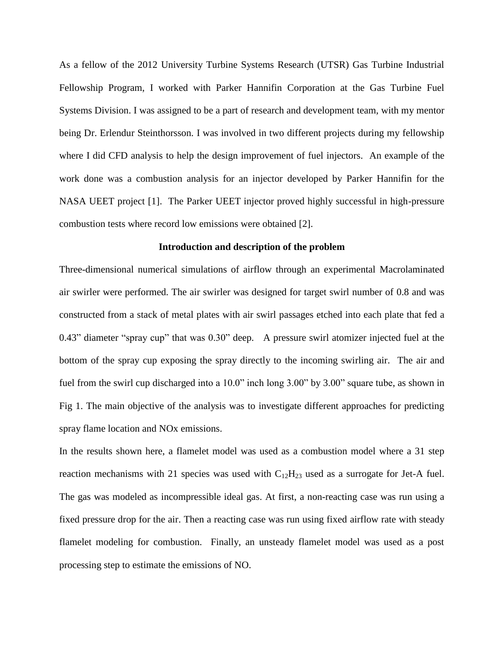As a fellow of the 2012 University Turbine Systems Research (UTSR) Gas Turbine Industrial Fellowship Program, I worked with Parker Hannifin Corporation at the Gas Turbine Fuel Systems Division. I was assigned to be a part of research and development team, with my mentor being Dr. Erlendur Steinthorsson. I was involved in two different projects during my fellowship where I did CFD analysis to help the design improvement of fuel injectors. An example of the work done was a combustion analysis for an injector developed by Parker Hannifin for the NASA UEET project [1]. The Parker UEET injector proved highly successful in high-pressure combustion tests where record low emissions were obtained [2].

#### **Introduction and description of the problem**

Three-dimensional numerical simulations of airflow through an experimental Macrolaminated air swirler were performed. The air swirler was designed for target swirl number of 0.8 and was constructed from a stack of metal plates with air swirl passages etched into each plate that fed a 0.43" diameter "spray cup" that was 0.30" deep. A pressure swirl atomizer injected fuel at the bottom of the spray cup exposing the spray directly to the incoming swirling air. The air and fuel from the swirl cup discharged into a 10.0" inch long 3.00" by 3.00" square tube, as shown in Fig 1. The main objective of the analysis was to investigate different approaches for predicting spray flame location and NOx emissions.

In the results shown here, a flamelet model was used as a combustion model where a 31 step reaction mechanisms with 21 species was used with  $C_{12}H_{23}$  used as a surrogate for Jet-A fuel. The gas was modeled as incompressible ideal gas. At first, a non-reacting case was run using a fixed pressure drop for the air. Then a reacting case was run using fixed airflow rate with steady flamelet modeling for combustion. Finally, an unsteady flamelet model was used as a post processing step to estimate the emissions of NO.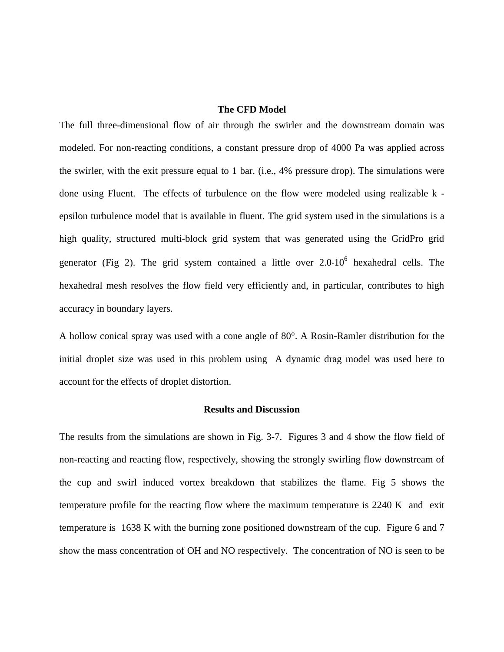## **The CFD Model**

The full three-dimensional flow of air through the swirler and the downstream domain was modeled. For non-reacting conditions, a constant pressure drop of 4000 Pa was applied across the swirler, with the exit pressure equal to 1 bar. (i.e., 4% pressure drop). The simulations were done using Fluent. The effects of turbulence on the flow were modeled using realizable k epsilon turbulence model that is available in fluent. The grid system used in the simulations is a high quality, structured multi-block grid system that was generated using the GridPro grid generator (Fig 2). The grid system contained a little over  $2.0 \cdot 10^6$  hexahedral cells. The hexahedral mesh resolves the flow field very efficiently and, in particular, contributes to high accuracy in boundary layers.

A hollow conical spray was used with a cone angle of 80°. A Rosin-Ramler distribution for the initial droplet size was used in this problem using A dynamic drag model was used here to account for the effects of droplet distortion.

#### **Results and Discussion**

The results from the simulations are shown in Fig. 3-7. Figures 3 and 4 show the flow field of non-reacting and reacting flow, respectively, showing the strongly swirling flow downstream of the cup and swirl induced vortex breakdown that stabilizes the flame. Fig 5 shows the temperature profile for the reacting flow where the maximum temperature is 2240 K and exit temperature is 1638 K with the burning zone positioned downstream of the cup. Figure 6 and 7 show the mass concentration of OH and NO respectively. The concentration of NO is seen to be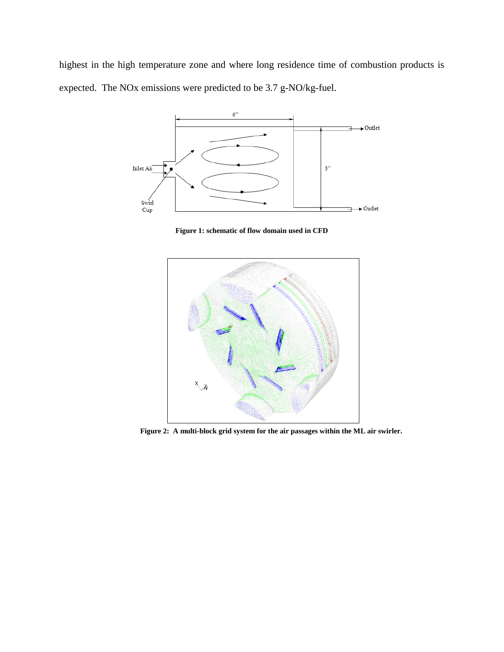highest in the high temperature zone and where long residence time of combustion products is expected. The NOx emissions were predicted to be 3.7 g-NO/kg-fuel.



**Figure 1: schematic of flow domain used in CFD**



**Figure 2: A multi-block grid system for the air passages within the ML air swirler.**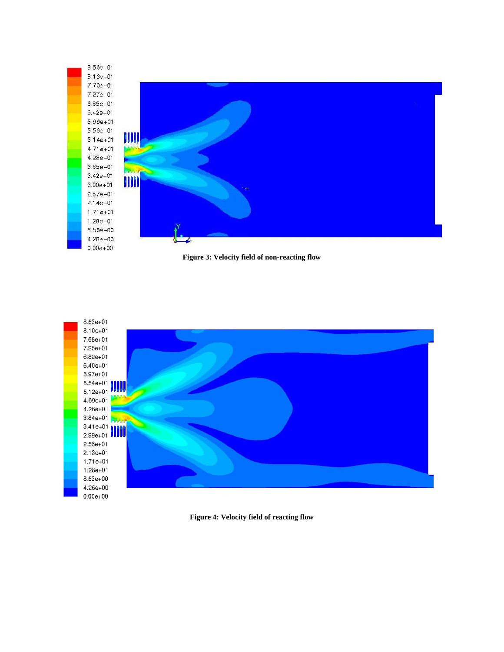





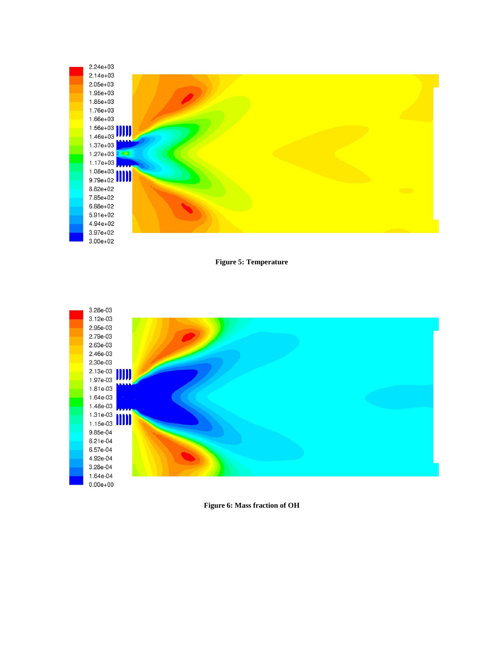

**Figure 5: Temperature**



**Figure 6: Mass fraction of OH**